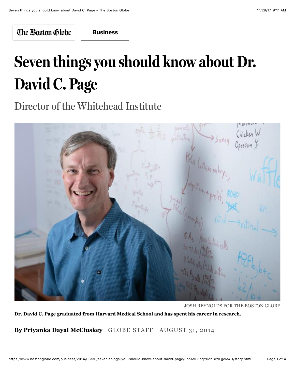The Boston Globe

**[Business](https://www.bostonglobe.com/business?p1=BGHeader_SectionLink)**

## **Seven things you should know about Dr. David C. Page**

Director of the Whitehead Institute



JOSH REYNOLDS FOR THE BOSTON GLOBE **Dr. David C. Page graduated from Harvard Medical School and has spent his career in research.**

**By Priyanka Dayal McCluskey** GLOBE STAFF AUGUST 31, 2014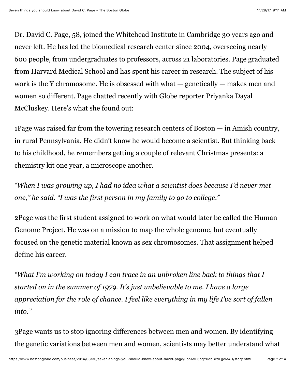Dr. David C. Page, 58, joined the Whitehead Institute in Cambridge 30 years ago and never left. He has led the biomedical research center since 2004, overseeing nearly 600 people, from undergraduates to professors, across 21 laboratories. Page graduated from Harvard Medical School and has spent his career in research. The subject of his work is the Y chromosome. He is obsessed with what — genetically — makes men and women so different. Page chatted recently with Globe reporter Priyanka Dayal McCluskey. Here's what she found out:

1Page was raised far from the towering research centers of Boston — in Amish country, in rural Pennsylvania. He didn't know he would become a scientist. But thinking back to his childhood, he remembers getting a couple of relevant Christmas presents: a chemistry kit one year, a microscope another.

*"When I was growing up, I had no idea what a scientist does because I'd never met one," he said. "I was the first person in my family to go to college."*

2Page was the first student assigned to work on what would later be called the Human Genome Project. He was on a mission to map the whole genome, but eventually focused on the genetic material known as sex chromosomes. That assignment helped define his career.

*"What I'm working on today I can trace in an unbroken line back to things that I started on in the summer of 1979. It's just unbelievable to me. I have a large appreciation for the role of chance. I feel like everything in my life I've sort of fallen into."*

3Page wants us to stop ignoring differences between men and women. By identifying the genetic variations between men and women, scientists may better understand what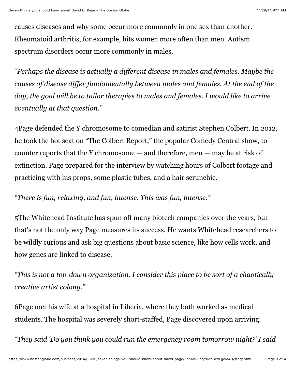causes diseases and why some occur more commonly in one sex than another. Rheumatoid arthritis, for example, hits women more often than men. Autism spectrum disorders occur more commonly in males.

"*Perhaps the disease is actually a different disease in males and females. Maybe the causes of disease differ fundamentally between males and females. At the end of the day, the goal will be to tailor therapies to males and females. I would like to arrive eventually at that question."*

4Page defended the Y chromosome to comedian and satirist Stephen Colbert. In 2012, he took the hot seat on "The Colbert Report," the popular Comedy Central show, to counter reports that the Y chromosome — and therefore, men — may be at risk of extinction. Page prepared for the interview by watching hours of Colbert footage and practicing with his props, some plastic tubes, and a hair scrunchie.

## *"There is fun, relaxing, and fun, intense. This was fun, intense."*

5The Whitehead Institute has spun off many biotech companies over the years, but that's not the only way Page measures its success. He wants Whitehead researchers to be wildly curious and ask big questions about basic science, like how cells work, and how genes are linked to disease.

*"This is not a top-down organization. I consider this place to be sort of a chaotically creative artist colony."*

6Page met his wife at a hospital in Liberia, where they both worked as medical students. The hospital was severely short-staffed, Page discovered upon arriving.

*"They said 'Do you think you could run the emergency room tomorrow night?' I said*